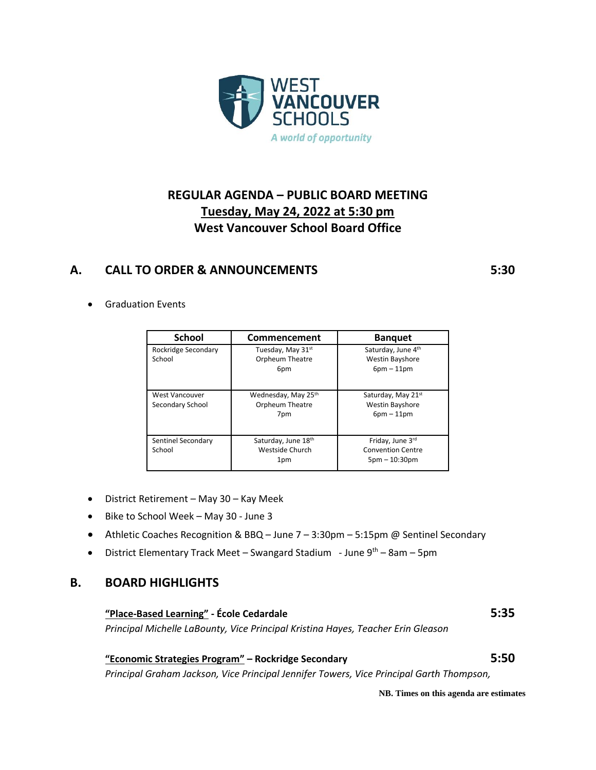

# **REGULAR AGENDA – PUBLIC BOARD MEETING Tuesday, May 24, 2022 at 5:30 pm West Vancouver School Board Office**

### **A. CALL TO ORDER & ANNOUNCEMENTS 5:30**

• Graduation Events

| <b>School</b>                             | Commencement                                  | <b>Banquet</b>                                                  |
|-------------------------------------------|-----------------------------------------------|-----------------------------------------------------------------|
| Rockridge Secondary<br>School             | Tuesday, May 31st<br>Orpheum Theatre<br>6pm   | Saturday, June 4th<br><b>Westin Bayshore</b><br>$6pm - 11pm$    |
| <b>West Vancouver</b><br>Secondary School | Wednesday, May 25th<br>Orpheum Theatre<br>7pm | Saturday, May 21st<br><b>Westin Bayshore</b><br>$6pm - 11pm$    |
| Sentinel Secondary<br>School              | Saturday, June 18th<br>Westside Church<br>1pm | Friday, June 3rd<br><b>Convention Centre</b><br>$5pm - 10:30pm$ |

- District Retirement May 30 Kay Meek
- Bike to School Week May 30 June 3
- Athletic Coaches Recognition & BBQ June 7 3:30pm 5:15pm @ Sentinel Secondary
- District Elementary Track Meet Swangard Stadium June  $9^{th}$  8am 5pm

#### **B. BOARD HIGHLIGHTS**

#### **"Place-Based Learning" - École Cedardale 5:35**

*Principal Michelle LaBounty, Vice Principal Kristina Hayes, Teacher Erin Gleason*

#### **"Economic Strategies Program" – Rockridge Secondary 5:50**

*Principal Graham Jackson, Vice Principal Jennifer Towers, Vice Principal Garth Thompson,* 

**NB. Times on this agenda are estimates**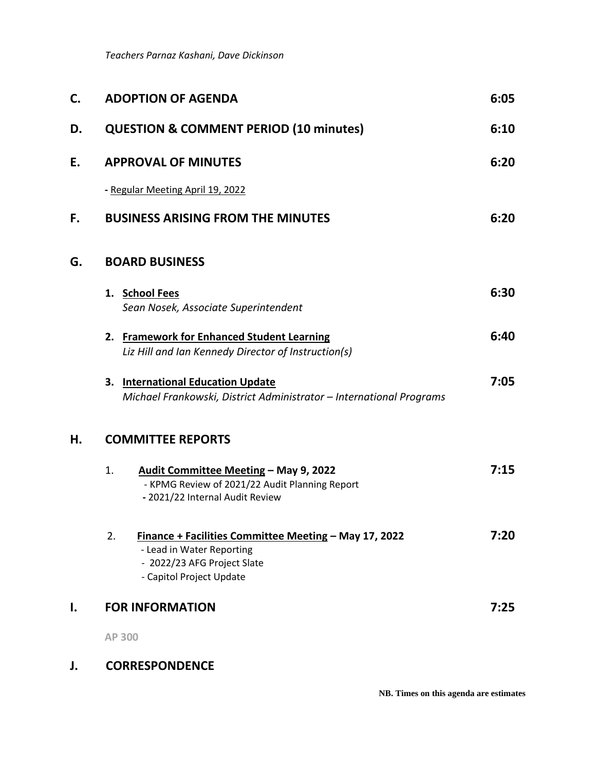*Teachers Parnaz Kashani, Dave Dickinson*

| C. | <b>ADOPTION OF AGENDA</b>                                                                                                                           | 6:05 |
|----|-----------------------------------------------------------------------------------------------------------------------------------------------------|------|
| D. | <b>QUESTION &amp; COMMENT PERIOD (10 minutes)</b>                                                                                                   | 6:10 |
| E. | <b>APPROVAL OF MINUTES</b>                                                                                                                          | 6:20 |
|    | - Regular Meeting April 19, 2022                                                                                                                    |      |
| F. | <b>BUSINESS ARISING FROM THE MINUTES</b>                                                                                                            | 6:20 |
| G. | <b>BOARD BUSINESS</b>                                                                                                                               |      |
|    | 1. School Fees<br>Sean Nosek, Associate Superintendent                                                                                              | 6:30 |
|    | 2. Framework for Enhanced Student Learning<br>Liz Hill and Ian Kennedy Director of Instruction(s)                                                   | 6:40 |
|    | <b>International Education Update</b><br>3.<br>Michael Frankowski, District Administrator - International Programs                                  | 7:05 |
| Н. | <b>COMMITTEE REPORTS</b>                                                                                                                            |      |
|    | Audit Committee Meeting - May 9, 2022<br>1.<br>- KPMG Review of 2021/22 Audit Planning Report<br>- 2021/22 Internal Audit Review                    | 7:15 |
|    | 2.<br>Finance + Facilities Committee Meeting - May 17, 2022<br>- Lead in Water Reporting<br>- 2022/23 AFG Project Slate<br>- Capitol Project Update | 7:20 |
| ı. | <b>FOR INFORMATION</b>                                                                                                                              | 7:25 |
|    | AP 300                                                                                                                                              |      |